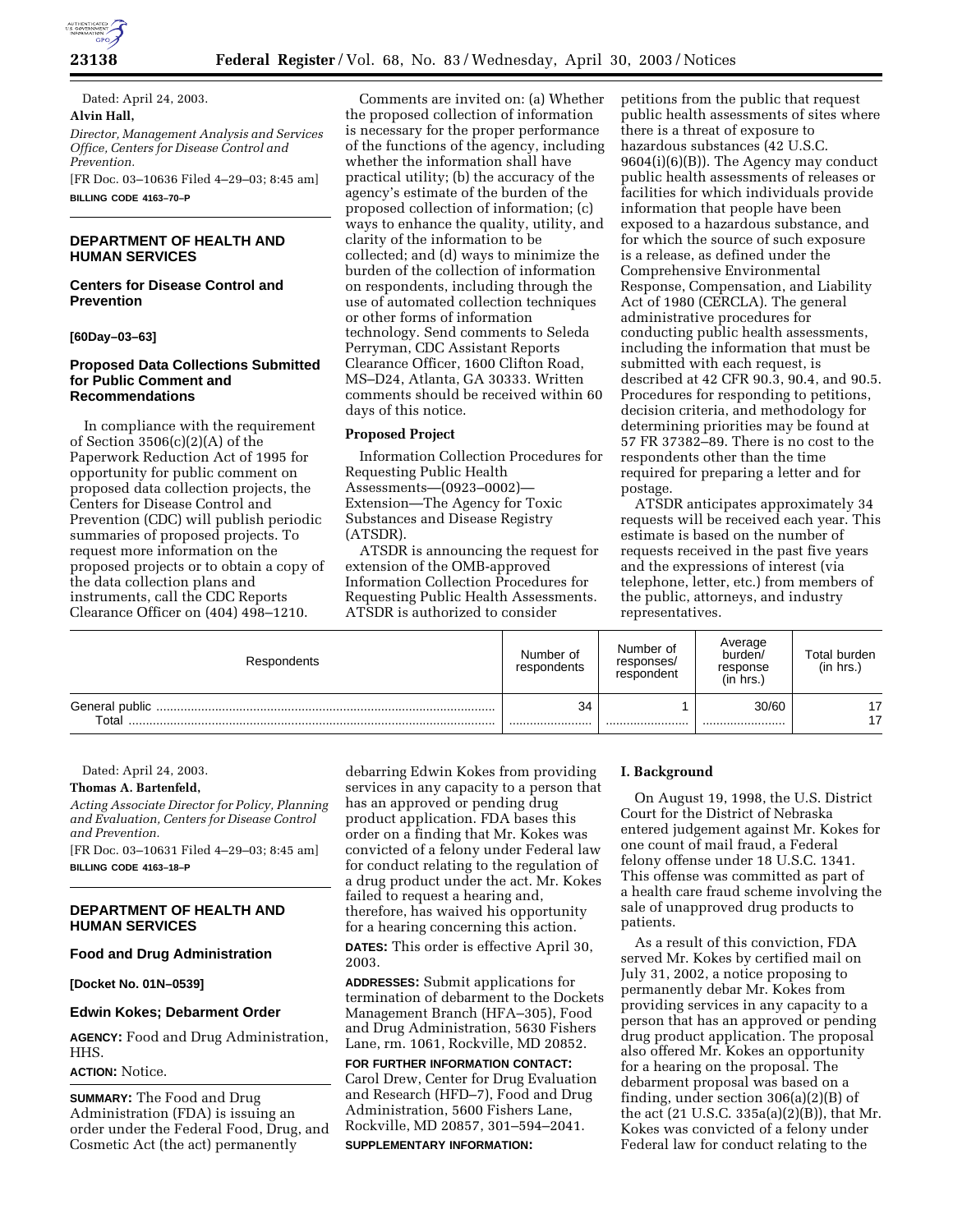

**23138 Federal Register** / Vol. 68, No. 83 / Wednesday, April 30, 2003 / Notices

Dated: April 24, 2003. **Alvin Hall,**  *Director, Management Analysis and Services Office, Centers for Disease Control and Prevention.*

[FR Doc. 03–10636 Filed 4–29–03; 8:45 am]

**BILLING CODE 4163–70–P**

## **DEPARTMENT OF HEALTH AND HUMAN SERVICES**

## **Centers for Disease Control and Prevention**

**[60Day–03–63]** 

## **Proposed Data Collections Submitted for Public Comment and Recommendations**

In compliance with the requirement of Section 3506(c)(2)(A) of the Paperwork Reduction Act of 1995 for opportunity for public comment on proposed data collection projects, the Centers for Disease Control and Prevention (CDC) will publish periodic summaries of proposed projects. To request more information on the proposed projects or to obtain a copy of the data collection plans and instruments, call the CDC Reports Clearance Officer on (404) 498–1210.

Comments are invited on: (a) Whether the proposed collection of information is necessary for the proper performance of the functions of the agency, including whether the information shall have practical utility; (b) the accuracy of the agency's estimate of the burden of the proposed collection of information; (c) ways to enhance the quality, utility, and clarity of the information to be collected; and (d) ways to minimize the burden of the collection of information on respondents, including through the use of automated collection techniques or other forms of information technology. Send comments to Seleda Perryman, CDC Assistant Reports Clearance Officer, 1600 Clifton Road, MS–D24, Atlanta, GA 30333. Written comments should be received within 60 days of this notice.

## **Proposed Project**

Information Collection Procedures for Requesting Public Health Assessments—(0923–0002)— Extension—The Agency for Toxic Substances and Disease Registry (ATSDR).

ATSDR is announcing the request for extension of the OMB-approved Information Collection Procedures for Requesting Public Health Assessments. ATSDR is authorized to consider

petitions from the public that request public health assessments of sites where there is a threat of exposure to hazardous substances (42 U.S.C. 9604(i)(6)(B)). The Agency may conduct public health assessments of releases or facilities for which individuals provide information that people have been exposed to a hazardous substance, and for which the source of such exposure is a release, as defined under the Comprehensive Environmental Response, Compensation, and Liability Act of 1980 (CERCLA). The general administrative procedures for conducting public health assessments, including the information that must be submitted with each request, is described at 42 CFR 90.3, 90.4, and 90.5. Procedures for responding to petitions, decision criteria, and methodology for determining priorities may be found at 57 FR 37382–89. There is no cost to the respondents other than the time required for preparing a letter and for postage.

ATSDR anticipates approximately 34 requests will be received each year. This estimate is based on the number of requests received in the past five years and the expressions of interest (via telephone, letter, etc.) from members of the public, attorneys, and industry representatives.

| Respondents                              | Number of<br>respondents | Number of<br>responses/<br>respondent | Average<br>burden/<br>response<br>(in hrs. | Total burden<br>(in hrs.) |
|------------------------------------------|--------------------------|---------------------------------------|--------------------------------------------|---------------------------|
| General public<br>$\tau$ <sub>otal</sub> | 34<br>                   |                                       | 30/60<br>                                  | 17<br>17                  |

Dated: April 24, 2003.

# **Thomas A. Bartenfeld,**

*Acting Associate Director for Policy, Planning and Evaluation, Centers for Disease Control and Prevention.*

[FR Doc. 03–10631 Filed 4–29–03; 8:45 am] **BILLING CODE 4163–18–P**

## **DEPARTMENT OF HEALTH AND HUMAN SERVICES**

### **Food and Drug Administration**

**[Docket No. 01N–0539]**

### **Edwin Kokes; Debarment Order**

**AGENCY:** Food and Drug Administration, HHS.

# **ACTION:** Notice.

**SUMMARY:** The Food and Drug Administration (FDA) is issuing an order under the Federal Food, Drug, and Cosmetic Act (the act) permanently

debarring Edwin Kokes from providing services in any capacity to a person that has an approved or pending drug product application. FDA bases this order on a finding that Mr. Kokes was convicted of a felony under Federal law for conduct relating to the regulation of a drug product under the act. Mr. Kokes failed to request a hearing and, therefore, has waived his opportunity for a hearing concerning this action.

**DATES:** This order is effective April 30, 2003.

**ADDRESSES:** Submit applications for termination of debarment to the Dockets Management Branch (HFA–305), Food and Drug Administration, 5630 Fishers Lane, rm. 1061, Rockville, MD 20852.

**FOR FURTHER INFORMATION CONTACT:** Carol Drew, Center for Drug Evaluation and Research (HFD–7), Food and Drug Administration, 5600 Fishers Lane, Rockville, MD 20857, 301–594–2041. **SUPPLEMENTARY INFORMATION:**

## **I. Background**

On August 19, 1998, the U.S. District Court for the District of Nebraska entered judgement against Mr. Kokes for one count of mail fraud, a Federal felony offense under 18 U.S.C. 1341. This offense was committed as part of a health care fraud scheme involving the sale of unapproved drug products to patients.

As a result of this conviction, FDA served Mr. Kokes by certified mail on July 31, 2002, a notice proposing to permanently debar Mr. Kokes from providing services in any capacity to a person that has an approved or pending drug product application. The proposal also offered Mr. Kokes an opportunity for a hearing on the proposal. The debarment proposal was based on a finding, under section 306(a)(2)(B) of the act (21 U.S.C. 335a(a)(2)(B)), that Mr. Kokes was convicted of a felony under Federal law for conduct relating to the